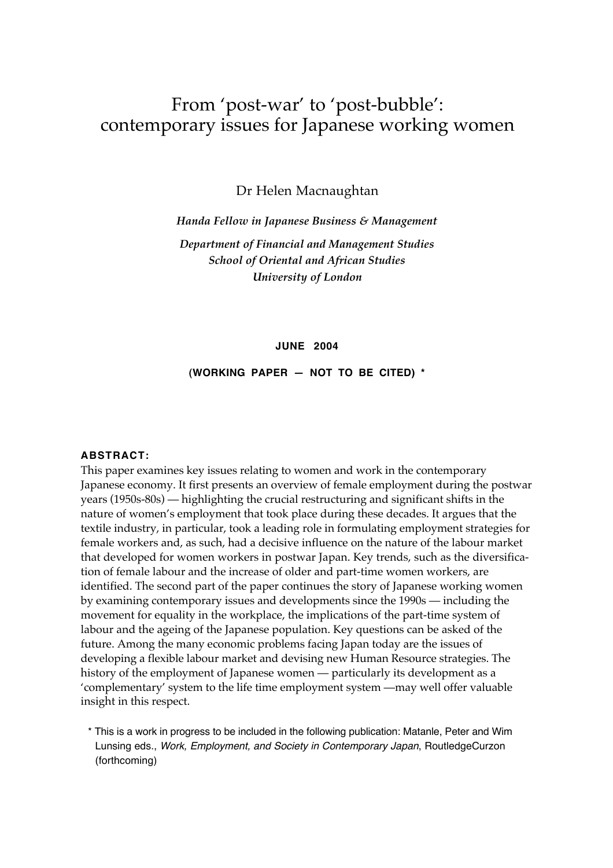# From 'post-war' to 'post-bubble': contemporary issues for Japanese working women

Dr Helen Macnaughtan

*Handa Fellow in Japanese Business & Management Department of Financial and Management Studies School of Oriental and African Studies University of London*

**JUNE 2004**

**(WORKING PAPER — NOT TO BE CITED) \***

#### **ABSTRACT:**

This paper examines key issues relating to women and work in the contemporary Japanese economy. It first presents an overview of female employment during the postwar years (1950s-80s) — highlighting the crucial restructuring and significant shifts in the nature of women's employment that took place during these decades. It argues that the textile industry, in particular, took a leading role in formulating employment strategies for female workers and, as such, had a decisive influence on the nature of the labour market that developed for women workers in postwar Japan. Key trends, such as the diversification of female labour and the increase of older and part-time women workers, are identified. The second part of the paper continues the story of Japanese working women by examining contemporary issues and developments since the 1990s — including the movement for equality in the workplace, the implications of the part-time system of labour and the ageing of the Japanese population. Key questions can be asked of the future. Among the many economic problems facing Japan today are the issues of developing a flexible labour market and devising new Human Resource strategies. The history of the employment of Japanese women — particularly its development as a 'complementary' system to the life time employment system —may well offer valuable insight in this respect.

\* This is a work in progress to be included in the following publication: Matanle, Peter and Wim Lunsing eds., Work, Employment, and Society in Contemporary Japan, RoutledgeCurzon (forthcoming)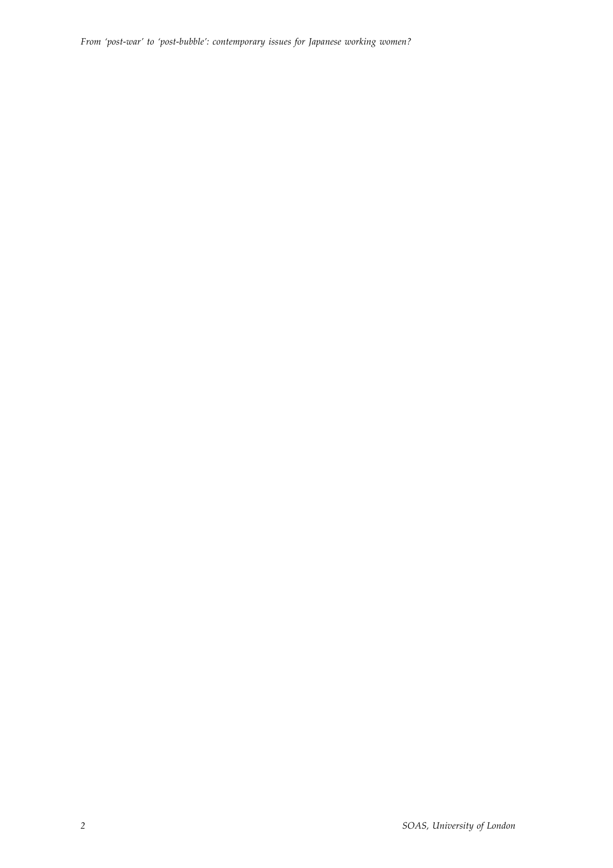*From 'post-war' to 'post-bubble': contemporary issues for Japanese working women?*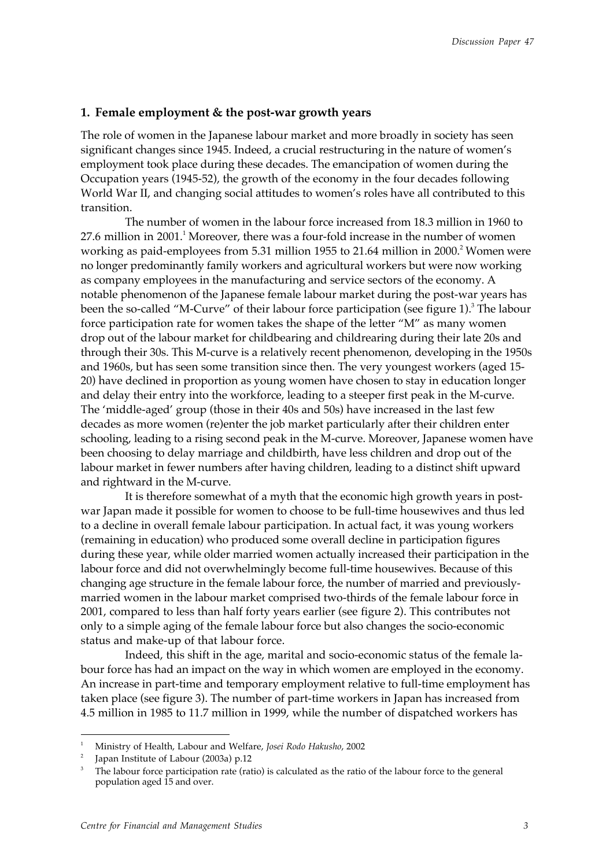### **1. Female employment & the post-war growth years**

The role of women in the Japanese labour market and more broadly in society has seen significant changes since 1945. Indeed, a crucial restructuring in the nature of women's employment took place during these decades. The emancipation of women during the Occupation years (1945-52), the growth of the economy in the four decades following World War II, and changing social attitudes to women's roles have all contributed to this transition.

The number of women in the labour force increased from 18.3 million in 1960 to 27.6 million in 2001.<sup>1</sup> Moreover, there was a four-fold increase in the number of women working as paid-employees from 5.31 million 1955 to 21.64 million in 2000.<sup>2</sup> Women were no longer predominantly family workers and agricultural workers but were now working as company employees in the manufacturing and service sectors of the economy. A notable phenomenon of the Japanese female labour market during the post-war years has been the so-called "M-Curve" of their labour force participation (see figure 1).<sup>3</sup> The labour force participation rate for women takes the shape of the letter "M" as many women drop out of the labour market for childbearing and childrearing during their late 20s and through their 30s. This M-curve is a relatively recent phenomenon, developing in the 1950s and 1960s, but has seen some transition since then. The very youngest workers (aged 15- 20) have declined in proportion as young women have chosen to stay in education longer and delay their entry into the workforce, leading to a steeper first peak in the M-curve. The 'middle-aged' group (those in their 40s and 50s) have increased in the last few decades as more women (re)enter the job market particularly after their children enter schooling, leading to a rising second peak in the M-curve. Moreover, Japanese women have been choosing to delay marriage and childbirth, have less children and drop out of the labour market in fewer numbers after having children, leading to a distinct shift upward and rightward in the M-curve.

It is therefore somewhat of a myth that the economic high growth years in postwar Japan made it possible for women to choose to be full-time housewives and thus led to a decline in overall female labour participation. In actual fact, it was young workers (remaining in education) who produced some overall decline in participation figures during these year, while older married women actually increased their participation in the labour force and did not overwhelmingly become full-time housewives. Because of this changing age structure in the female labour force, the number of married and previouslymarried women in the labour market comprised two-thirds of the female labour force in 2001, compared to less than half forty years earlier (see figure 2). This contributes not only to a simple aging of the female labour force but also changes the socio-economic status and make-up of that labour force.

Indeed, this shift in the age, marital and socio-economic status of the female labour force has had an impact on the way in which women are employed in the economy. An increase in part-time and temporary employment relative to full-time employment has taken place (see figure 3). The number of part-time workers in Japan has increased from 4.5 million in 1985 to 11.7 million in 1999, while the number of dispatched workers has

<sup>1</sup> Ministry of Health, Labour and Welfare, *Josei Rodo Hakusho*, 2002

<sup>2</sup> Japan Institute of Labour (2003a) p.12

<sup>3</sup> The labour force participation rate (ratio) is calculated as the ratio of the labour force to the general population aged 15 and over.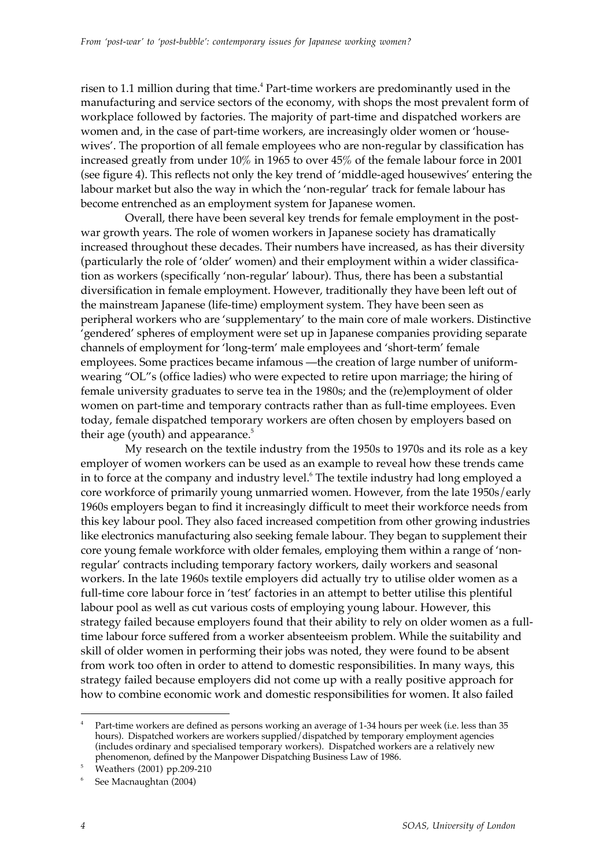risen to 1.1 million during that time.<sup>4</sup> Part-time workers are predominantly used in the manufacturing and service sectors of the economy, with shops the most prevalent form of workplace followed by factories. The majority of part-time and dispatched workers are women and, in the case of part-time workers, are increasingly older women or 'housewives'. The proportion of all female employees who are non-regular by classification has increased greatly from under 10% in 1965 to over 45% of the female labour force in 2001 (see figure 4). This reflects not only the key trend of 'middle-aged housewives' entering the labour market but also the way in which the 'non-regular' track for female labour has become entrenched as an employment system for Japanese women.

Overall, there have been several key trends for female employment in the postwar growth years. The role of women workers in Japanese society has dramatically increased throughout these decades. Their numbers have increased, as has their diversity (particularly the role of 'older' women) and their employment within a wider classification as workers (specifically 'non-regular' labour). Thus, there has been a substantial diversification in female employment. However, traditionally they have been left out of the mainstream Japanese (life-time) employment system. They have been seen as peripheral workers who are 'supplementary' to the main core of male workers. Distinctive 'gendered' spheres of employment were set up in Japanese companies providing separate channels of employment for 'long-term' male employees and 'short-term' female employees. Some practices became infamous —the creation of large number of uniformwearing "OL"s (office ladies) who were expected to retire upon marriage; the hiring of female university graduates to serve tea in the 1980s; and the (re)employment of older women on part-time and temporary contracts rather than as full-time employees. Even today, female dispatched temporary workers are often chosen by employers based on their age (youth) and appearance. $5$ 

My research on the textile industry from the 1950s to 1970s and its role as a key employer of women workers can be used as an example to reveal how these trends came in to force at the company and industry level.<sup>6</sup> The textile industry had long employed a core workforce of primarily young unmarried women. However, from the late 1950s/early 1960s employers began to find it increasingly difficult to meet their workforce needs from this key labour pool. They also faced increased competition from other growing industries like electronics manufacturing also seeking female labour. They began to supplement their core young female workforce with older females, employing them within a range of 'nonregular' contracts including temporary factory workers, daily workers and seasonal workers. In the late 1960s textile employers did actually try to utilise older women as a full-time core labour force in 'test' factories in an attempt to better utilise this plentiful labour pool as well as cut various costs of employing young labour. However, this strategy failed because employers found that their ability to rely on older women as a fulltime labour force suffered from a worker absenteeism problem. While the suitability and skill of older women in performing their jobs was noted, they were found to be absent from work too often in order to attend to domestic responsibilities. In many ways, this strategy failed because employers did not come up with a really positive approach for how to combine economic work and domestic responsibilities for women. It also failed

<sup>4</sup> Part-time workers are defined as persons working an average of 1-34 hours per week (i.e. less than 35 hours). Dispatched workers are workers supplied/dispatched by temporary employment agencies (includes ordinary and specialised temporary workers). Dispatched workers are a relatively new phenomenon, defined by the Manpower Dispatching Business Law of 1986.

<sup>5</sup> Weathers (2001) pp.209-210

<sup>6</sup> See Macnaughtan (2004)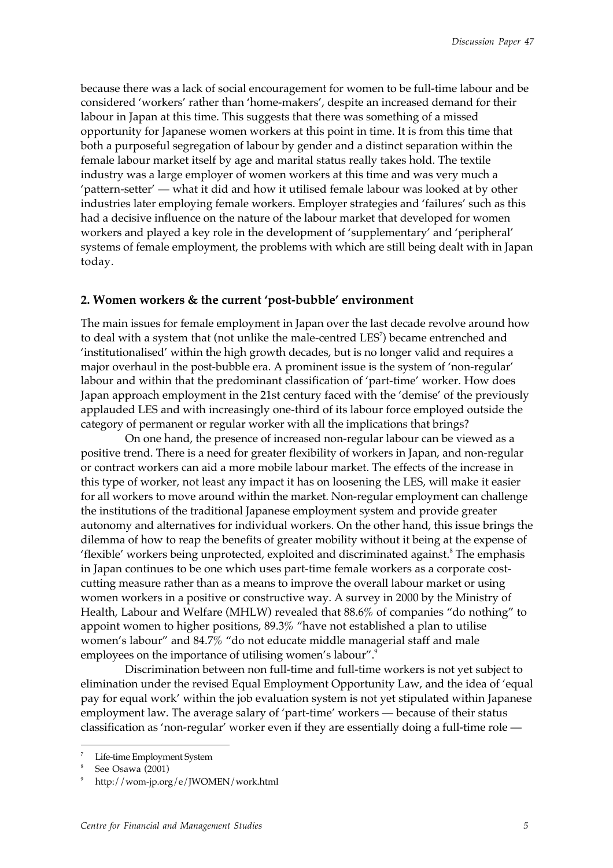because there was a lack of social encouragement for women to be full-time labour and be considered 'workers' rather than 'home-makers', despite an increased demand for their labour in Japan at this time. This suggests that there was something of a missed opportunity for Japanese women workers at this point in time. It is from this time that both a purposeful segregation of labour by gender and a distinct separation within the female labour market itself by age and marital status really takes hold. The textile industry was a large employer of women workers at this time and was very much a 'pattern-setter' — what it did and how it utilised female labour was looked at by other industries later employing female workers. Employer strategies and 'failures' such as this had a decisive influence on the nature of the labour market that developed for women workers and played a key role in the development of 'supplementary' and 'peripheral' systems of female employment, the problems with which are still being dealt with in Japan today.

#### **2. Women workers & the current 'post-bubble' environment**

The main issues for female employment in Japan over the last decade revolve around how to deal with a system that (not unlike the male-centred LES $^7$ ) became entrenched and 'institutionalised' within the high growth decades, but is no longer valid and requires a major overhaul in the post-bubble era. A prominent issue is the system of 'non-regular' labour and within that the predominant classification of 'part-time' worker. How does Japan approach employment in the 21st century faced with the 'demise' of the previously applauded LES and with increasingly one-third of its labour force employed outside the category of permanent or regular worker with all the implications that brings?

On one hand, the presence of increased non-regular labour can be viewed as a positive trend. There is a need for greater flexibility of workers in Japan, and non-regular or contract workers can aid a more mobile labour market. The effects of the increase in this type of worker, not least any impact it has on loosening the LES, will make it easier for all workers to move around within the market. Non-regular employment can challenge the institutions of the traditional Japanese employment system and provide greater autonomy and alternatives for individual workers. On the other hand, this issue brings the dilemma of how to reap the benefits of greater mobility without it being at the expense of 'flexible' workers being unprotected, exploited and discriminated against. $^8$  The emphasis in Japan continues to be one which uses part-time female workers as a corporate costcutting measure rather than as a means to improve the overall labour market or using women workers in a positive or constructive way. A survey in 2000 by the Ministry of Health, Labour and Welfare (MHLW) revealed that 88.6% of companies "do nothing" to appoint women to higher positions, 89.3% "have not established a plan to utilise women's labour" and 84.7% "do not educate middle managerial staff and male employees on the importance of utilising women's labour".<sup>9</sup>

Discrimination between non full-time and full-time workers is not yet subject to elimination under the revised Equal Employment Opportunity Law, and the idea of 'equal pay for equal work' within the job evaluation system is not yet stipulated within Japanese employment law. The average salary of 'part-time' workers — because of their status classification as 'non-regular' worker even if they are essentially doing a full-time role —

<sup>&</sup>lt;sup>7</sup> Life-time Employment System

<sup>8</sup> See Osawa (2001)

<sup>9</sup> http://wom-jp.org/e/JWOMEN/work.html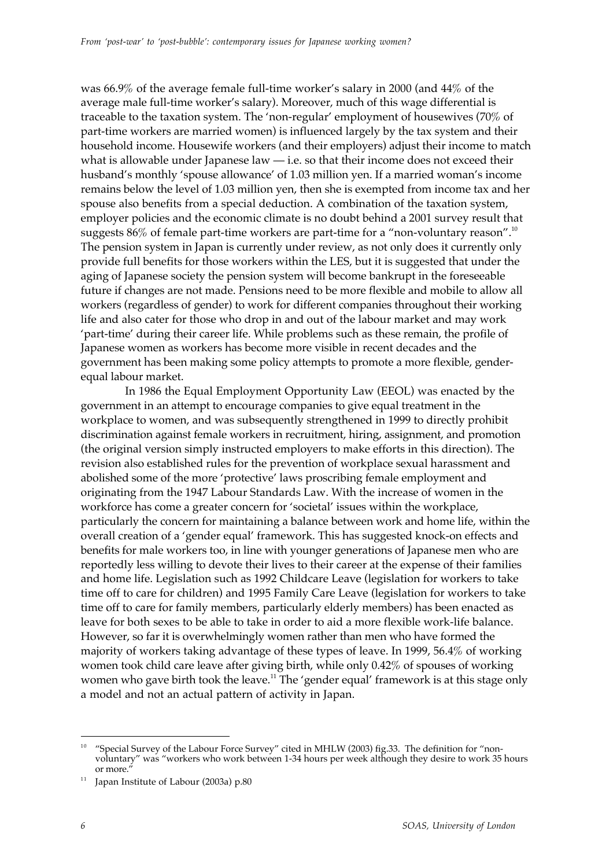was 66.9% of the average female full-time worker's salary in 2000 (and 44% of the average male full-time worker's salary). Moreover, much of this wage differential is traceable to the taxation system. The 'non-regular' employment of housewives (70% of part-time workers are married women) is influenced largely by the tax system and their household income. Housewife workers (and their employers) adjust their income to match what is allowable under Japanese law  $\frac{d}{dx}$  i.e. so that their income does not exceed their husband's monthly 'spouse allowance' of 1.03 million yen. If a married woman's income remains below the level of 1.03 million yen, then she is exempted from income tax and her spouse also benefits from a special deduction. A combination of the taxation system, employer policies and the economic climate is no doubt behind a 2001 survey result that suggests  $86\%$  of female part-time workers are part-time for a "non-voluntary reason".<sup>10</sup> The pension system in Japan is currently under review, as not only does it currently only provide full benefits for those workers within the LES, but it is suggested that under the aging of Japanese society the pension system will become bankrupt in the foreseeable future if changes are not made. Pensions need to be more flexible and mobile to allow all workers (regardless of gender) to work for different companies throughout their working life and also cater for those who drop in and out of the labour market and may work 'part-time' during their career life. While problems such as these remain, the profile of Japanese women as workers has become more visible in recent decades and the government has been making some policy attempts to promote a more flexible, genderequal labour market.

In 1986 the Equal Employment Opportunity Law (EEOL) was enacted by the government in an attempt to encourage companies to give equal treatment in the workplace to women, and was subsequently strengthened in 1999 to directly prohibit discrimination against female workers in recruitment, hiring, assignment, and promotion (the original version simply instructed employers to make efforts in this direction). The revision also established rules for the prevention of workplace sexual harassment and abolished some of the more 'protective' laws proscribing female employment and originating from the 1947 Labour Standards Law. With the increase of women in the workforce has come a greater concern for 'societal' issues within the workplace, particularly the concern for maintaining a balance between work and home life, within the overall creation of a 'gender equal' framework. This has suggested knock-on effects and benefits for male workers too, in line with younger generations of Japanese men who are reportedly less willing to devote their lives to their career at the expense of their families and home life. Legislation such as 1992 Childcare Leave (legislation for workers to take time off to care for children) and 1995 Family Care Leave (legislation for workers to take time off to care for family members, particularly elderly members) has been enacted as leave for both sexes to be able to take in order to aid a more flexible work-life balance. However, so far it is overwhelmingly women rather than men who have formed the majority of workers taking advantage of these types of leave. In 1999, 56.4% of working women took child care leave after giving birth, while only 0.42% of spouses of working women who gave birth took the leave.<sup>11</sup> The 'gender equal' framework is at this stage only a model and not an actual pattern of activity in Japan.

<sup>&</sup>quot;Special Survey of the Labour Force Survey" cited in MHLW (2003) fig.33. The definition for "non-<br>voluntary" was "workers who work between 1-34 hours per week although they desire to work 35 was "workers who work between 1-34 hours per week although they desire to work 35 hours or more."

Japan Institute of Labour (2003a) p.80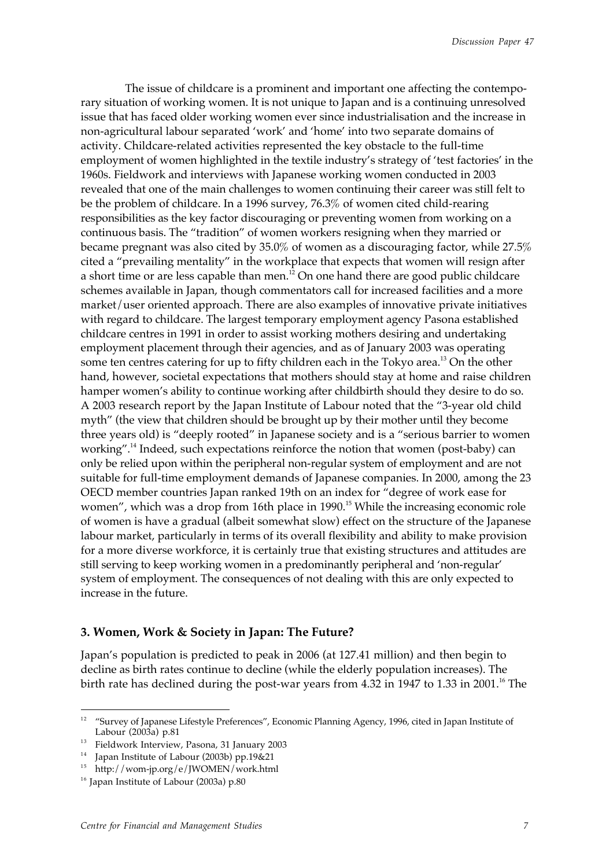The issue of childcare is a prominent and important one affecting the contemporary situation of working women. It is not unique to Japan and is a continuing unresolved issue that has faced older working women ever since industrialisation and the increase in non-agricultural labour separated 'work' and 'home' into two separate domains of activity. Childcare-related activities represented the key obstacle to the full-time employment of women highlighted in the textile industry's strategy of 'test factories' in the 1960s. Fieldwork and interviews with Japanese working women conducted in 2003 revealed that one of the main challenges to women continuing their career was still felt to be the problem of childcare. In a 1996 survey, 76.3% of women cited child-rearing responsibilities as the key factor discouraging or preventing women from working on a continuous basis. The "tradition" of women workers resigning when they married or became pregnant was also cited by 35.0% of women as a discouraging factor, while 27.5% cited a "prevailing mentality" in the workplace that expects that women will resign after a short time or are less capable than men. $^{12}$  On one hand there are good public childcare schemes available in Japan, though commentators call for increased facilities and a more market/user oriented approach. There are also examples of innovative private initiatives with regard to childcare. The largest temporary employment agency Pasona established childcare centres in 1991 in order to assist working mothers desiring and undertaking employment placement through their agencies, and as of January 2003 was operating some ten centres catering for up to fifty children each in the Tokyo area.<sup>13</sup> On the other hand, however, societal expectations that mothers should stay at home and raise children hamper women's ability to continue working after childbirth should they desire to do so. A 2003 research report by the Japan Institute of Labour noted that the "3-year old child myth" (the view that children should be brought up by their mother until they become three years old) is "deeply rooted" in Japanese society and is a "serious barrier to women working".<sup>14</sup> Indeed, such expectations reinforce the notion that women (post-baby) can only be relied upon within the peripheral non-regular system of employment and are not suitable for full-time employment demands of Japanese companies. In 2000, among the 23 OECD member countries Japan ranked 19th on an index for "degree of work ease for women", which was a drop from 16th place in 1990.<sup>15</sup> While the increasing economic role of women is have a gradual (albeit somewhat slow) effect on the structure of the Japanese labour market, particularly in terms of its overall flexibility and ability to make provision for a more diverse workforce, it is certainly true that existing structures and attitudes are still serving to keep working women in a predominantly peripheral and 'non-regular' system of employment. The consequences of not dealing with this are only expected to increase in the future.

## **3. Women, Work & Society in Japan: The Future?**

Japan's population is predicted to peak in 2006 (at 127.41 million) and then begin to decline as birth rates continue to decline (while the elderly population increases). The birth rate has declined during the post-war years from 4.32 in 1947 to 1.33 in 2001.<sup>16</sup> The

<sup>&</sup>lt;sup>12</sup> "Survey of Japanese Lifestyle Preferences", Economic Planning Agency, 1996, cited in Japan Institute of Labour (2003a) p.81

<sup>&</sup>lt;sup>13</sup> Fieldwork Interview, Pasona, 31 January 2003

<sup>&</sup>lt;sup>14</sup> Japan Institute of Labour (2003b) pp.19&21

<sup>15</sup> http://wom-jp.org/e/JWOMEN/work.html

<sup>&</sup>lt;sup>16</sup> Japan Institute of Labour (2003a) p.80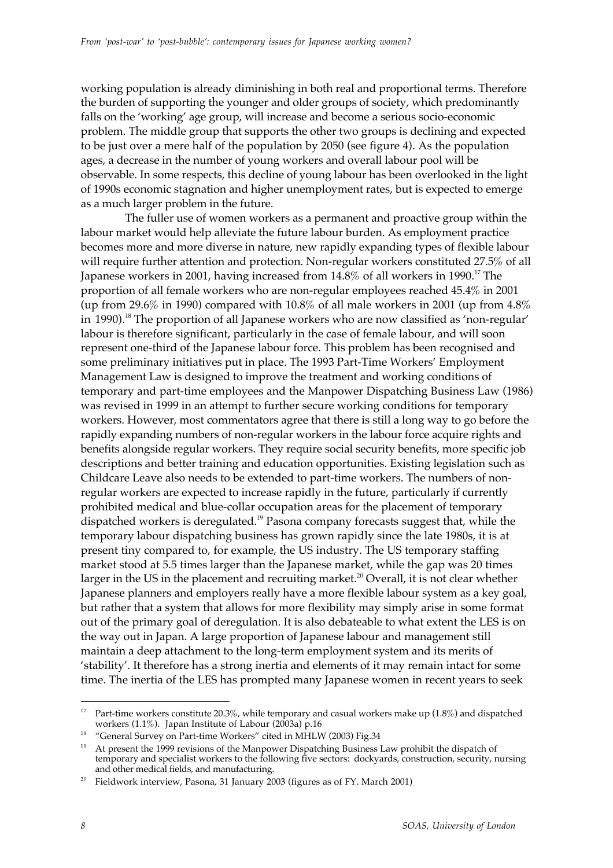working population is already diminishing in both real and proportional terms. Therefore the burden of supporting the younger and older groups of society, which predominantly falls on the 'working' age group, will increase and become a serious socio-economic problem. The middle group that supports the other two groups is declining and expected to be just over a mere half of the population by 2050 (see figure 4). As the population ages, a decrease in the number of young workers and overall labour pool will be observable. In some respects, this decline of young labour has been overlooked in the light of 1990s economic stagnation and higher unemployment rates, but is expected to emerge as a much larger problem in the future.

The fuller use of women workers as a permanent and proactive group within the labour market would help alleviate the future labour burden. As employment practice becomes more and more diverse in nature, new rapidly expanding types of flexible labour will require further attention and protection. Non-regular workers constituted 27.5% of all Japanese workers in 2001, having increased from 14.8% of all workers in 1990.<sup>17</sup> The proportion of all female workers who are non-regular employees reached 45.4% in 2001 (up from 29.6% in 1990) compared with  $10.8\%$  of all male workers in 2001 (up from  $4.8\%$ ) in 1990).<sup>18</sup> The proportion of all Japanese workers who are now classified as 'non-regular' labour is therefore significant, particularly in the case of female labour, and will soon represent one-third of the Japanese labour force. This problem has been recognised and some preliminary initiatives put in place. The 1993 Part-Time Workers' Employment Management Law is designed to improve the treatment and working conditions of temporary and part-time employees and the Manpower Dispatching Business Law (1986) was revised in 1999 in an attempt to further secure working conditions for temporary workers. However, most commentators agree that there is still a long way to go before the rapidly expanding numbers of non-regular workers in the labour force acquire rights and benefits alongside regular workers. They require social security benefits, more specific job descriptions and better training and education opportunities. Existing legislation such as Childcare Leave also needs to be extended to part-time workers. The numbers of nonregular workers are expected to increase rapidly in the future, particularly if currently prohibited medical and blue-collar occupation areas for the placement of temporary dispatched workers is deregulated.<sup>19</sup> Pasona company forecasts suggest that, while the temporary labour dispatching business has grown rapidly since the late 1980s, it is at present tiny compared to, for example, the US industry. The US temporary staffing market stood at 5.5 times larger than the Japanese market, while the gap was 20 times larger in the US in the placement and recruiting market.<sup>20</sup> Overall, it is not clear whether Japanese planners and employers really have a more flexible labour system as a key goal, but rather that a system that allows for more flexibility may simply arise in some format out of the primary goal of deregulation. It is also debateable to what extent the LES is on the way out in Japan. A large proportion of Japanese labour and management still maintain a deep attachment to the long-term employment system and its merits of 'stability'. It therefore has a strong inertia and elements of it may remain intact for some time. The inertia of the LES has prompted many Japanese women in recent years to seek

<sup>&</sup>lt;sup>17</sup> Part-time workers constitute 20.3%, while temporary and casual workers make up  $(1.8\%)$  and dispatched workers (1.1%). Japan Institute of Labour (2003a) p.16

<sup>&</sup>quot;General Survey on Part-time Workers" cited in MHLW (2003) Fig.34

<sup>&</sup>lt;sup>19</sup> At present the 1999 revisions of the Manpower Dispatching Business Law prohibit the dispatch of temporary and specialist workers to the following five sectors: dockyards, construction, security, nursing and other medical fields, and manufacturing.

<sup>&</sup>lt;sup>20</sup> Fieldwork interview, Pasona, 31 January 2003 (figures as of FY. March 2001)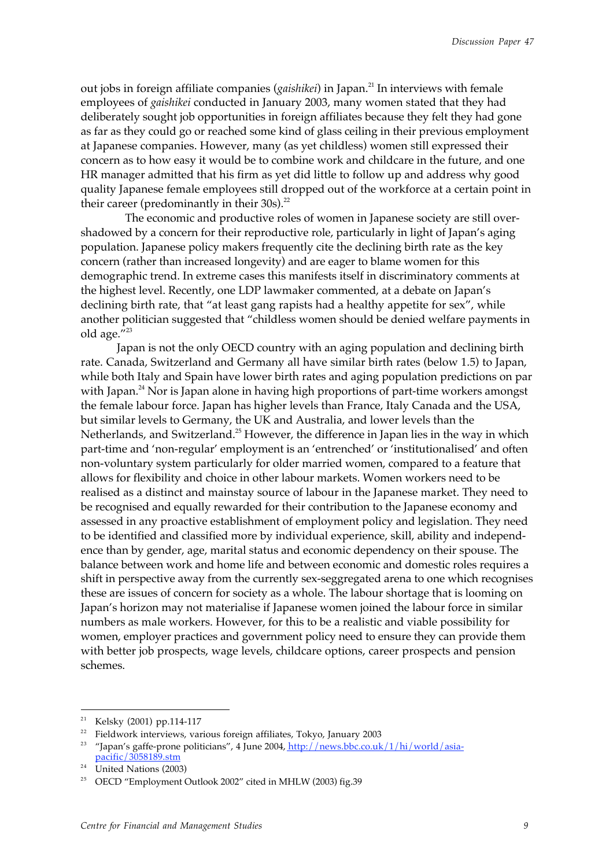out jobs in foreign affiliate companies (*gaishikei*) in Japan.<sup>21</sup> In interviews with female employees of *gaishikei* conducted in January 2003, many women stated that they had deliberately sought job opportunities in foreign affiliates because they felt they had gone as far as they could go or reached some kind of glass ceiling in their previous employment at Japanese companies. However, many (as yet childless) women still expressed their concern as to how easy it would be to combine work and childcare in the future, and one HR manager admitted that his firm as yet did little to follow up and address why good quality Japanese female employees still dropped out of the workforce at a certain point in their career (predominantly in their  $30s$ ).<sup>22</sup>

The economic and productive roles of women in Japanese society are still overshadowed by a concern for their reproductive role, particularly in light of Japan's aging population. Japanese policy makers frequently cite the declining birth rate as the key concern (rather than increased longevity) and are eager to blame women for this demographic trend. In extreme cases this manifests itself in discriminatory comments at the highest level. Recently, one LDP lawmaker commented, at a debate on Japan's declining birth rate, that "at least gang rapists had a healthy appetite for sex", while another politician suggested that "childless women should be denied welfare payments in old age. $\overline{''}^{23}$ 

Japan is not the only OECD country with an aging population and declining birth rate. Canada, Switzerland and Germany all have similar birth rates (below 1.5) to Japan, while both Italy and Spain have lower birth rates and aging population predictions on par with Japan.<sup>24</sup> Nor is Japan alone in having high proportions of part-time workers amongst the female labour force. Japan has higher levels than France, Italy Canada and the USA, but similar levels to Germany, the UK and Australia, and lower levels than the Netherlands, and Switzerland.<sup>25</sup> However, the difference in Japan lies in the way in which part-time and 'non-regular' employment is an 'entrenched' or 'institutionalised' and often non-voluntary system particularly for older married women, compared to a feature that allows for flexibility and choice in other labour markets. Women workers need to be realised as a distinct and mainstay source of labour in the Japanese market. They need to be recognised and equally rewarded for their contribution to the Japanese economy and assessed in any proactive establishment of employment policy and legislation. They need to be identified and classified more by individual experience, skill, ability and independence than by gender, age, marital status and economic dependency on their spouse. The balance between work and home life and between economic and domestic roles requires a shift in perspective away from the currently sex-seggregated arena to one which recognises these are issues of concern for society as a whole. The labour shortage that is looming on Japan's horizon may not materialise if Japanese women joined the labour force in similar numbers as male workers. However, for this to be a realistic and viable possibility for women, employer practices and government policy need to ensure they can provide them with better job prospects, wage levels, childcare options, career prospects and pension schemes.

<sup>21</sup> Kelsky (2001) pp.114-117

<sup>&</sup>lt;sup>22</sup> Fieldwork interviews, various foreign affiliates, Tokyo, January 2003

<sup>&</sup>lt;sup>23</sup> "Japan's gaffe-prone politicians", 4 June 2004,  $\frac{http://news.bbc.co.uk/1/hi/world/asia-1/1/hi/world/asia-1/1/hi/void/0.1/1/hi/void/0.1/1/hi/void/0.1/1/hi/void/0.1/1/hi/void/0.1/1/ili/void/0.1/1/ili/void/0.1/1/ili/void/0.1/1/ili/void/0.1/1/ili/void/0.1/1/ili/void/0.1/1/ili/void/0.1/1/ili/void/0.1/1/ili/void/$ pacific/3058189.stm

 $24$  United Nations (2003)

<sup>25</sup> OECD "Employment Outlook 2002" cited in MHLW (2003) fig.39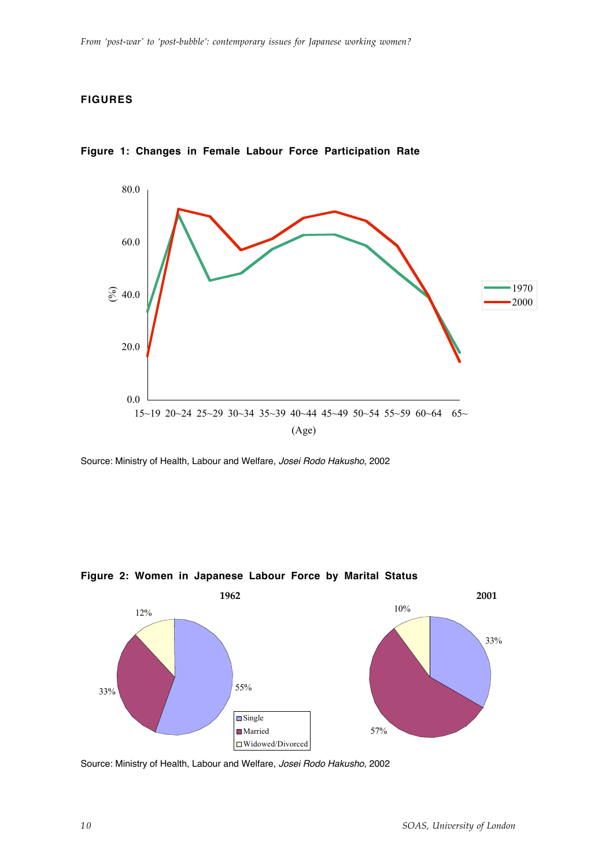## **FIGURES**



**Figure 1: Changes in Female Labour Force Participation Rate**

Source: Ministry of Health, Labour and Welfare, Josei Rodo Hakusho, 2002



**Figure 2: Women in Japanese Labour Force by Marital Status**

Source: Ministry of Health, Labour and Welfare, Josei Rodo Hakusho, 2002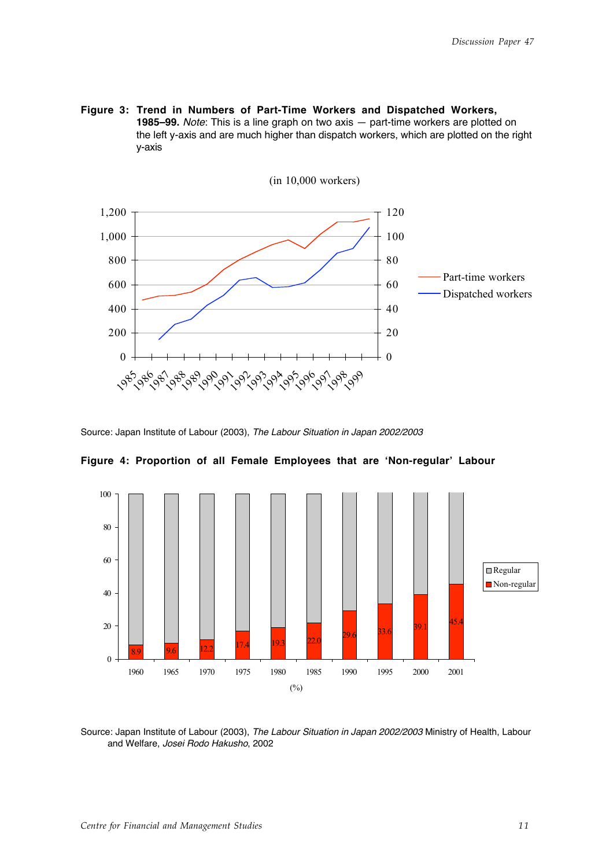**Figure 3: Trend in Numbers of Part-Time Workers and Dispatched Workers, 1985–99.** Note: This is a line graph on two axis — part-time workers are plotted on the left y-axis and are much higher than dispatch workers, which are plotted on the right y-axis



(in 10,000 workers)

Source: Japan Institute of Labour (2003), The Labour Situation in Japan 2002/2003



**Figure 4: Proportion of all Female Employees that are 'Non-regular' Labour**

Source: Japan Institute of Labour (2003), The Labour Situation in Japan 2002/2003 Ministry of Health, Labour and Welfare, Josei Rodo Hakusho, 2002